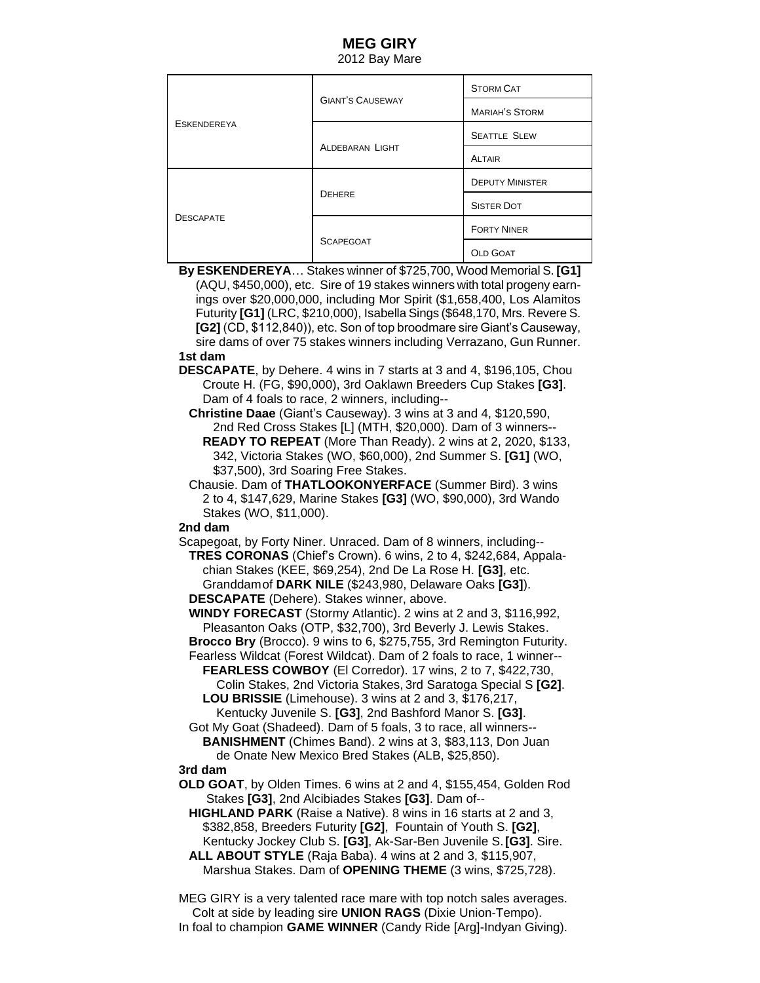# **MEG GIRY**

2012 Bay Mare

| <b>ESKENDEREYA</b> | <b>GIANT'S CAUSEWAY</b> | <b>STORM CAT</b>       |
|--------------------|-------------------------|------------------------|
|                    |                         | <b>MARIAH'S STORM</b>  |
|                    | <b>ALDEBARAN LIGHT</b>  | <b>SEATTLE SLEW</b>    |
|                    |                         | <b>ALTAIR</b>          |
| <b>DESCAPATE</b>   | <b>DEHERE</b>           | <b>DEPUTY MINISTER</b> |
|                    |                         | <b>SISTER DOT</b>      |
|                    | <b>SCAPEGOAT</b>        | <b>FORTY NINER</b>     |
|                    |                         | <b>OLD GOAT</b>        |

**By ESKENDEREYA**… Stakes winner of \$725,700, Wood Memorial S. **[G1]** (AQU, \$450,000), etc. Sire of 19 stakes winners with total progeny earn ings over \$20,000,000, including Mor Spirit (\$1,658,400, Los Alamitos Futurity **[G1]** (LRC, \$210,000), Isabella Sings (\$648,170, Mrs. Revere S. **[G2]** (CD, \$112,840)), etc. Son of top broodmare sire Giant's Causeway, sire dams of over 75 stakes winners including Verrazano, Gun Runner.

#### **1st dam**

**DESCAPATE**, by Dehere. 4 wins in 7 starts at 3 and 4, \$196,105, Chou Croute H. (FG, \$90,000), 3rd Oaklawn Breeders Cup Stakes **[G3]**. Dam of 4 foals to race, 2 winners, including--

 **Christine Daae** (Giant's Causeway). 3 wins at 3 and 4, \$120,590, 2nd Red Cross Stakes [L] (MTH, \$20,000). Dam of 3 winners-- **READY TO REPEAT** (More Than Ready). 2 wins at 2, 2020, \$133, 342, Victoria Stakes (WO, \$60,000), 2nd Summer S. **[G1]** (WO,

 \$37,500), 3rd Soaring Free Stakes. Chausie. Dam of **THATLOOKONYERFACE** (Summer Bird). 3 wins 2 to 4, \$147,629, Marine Stakes **[G3]** (WO, \$90,000), 3rd Wando Stakes (WO, \$11,000).

### **2nd dam**

Scapegoat, by Forty Niner. Unraced. Dam of 8 winners, including-- **TRES CORONAS** (Chief's Crown). 6 wins, 2 to 4, \$242,684, Appala chian Stakes (KEE, \$69,254), 2nd De La Rose H. **[G3]**, etc. Granddamof **DARK NILE** (\$243,980, Delaware Oaks **[G3]**). **DESCAPATE** (Dehere). Stakes winner, above.

 **WINDY FORECAST** (Stormy Atlantic). 2 wins at 2 and 3, \$116,992, Pleasanton Oaks (OTP, \$32,700), 3rd Beverly J. Lewis Stakes.

 **Brocco Bry** (Brocco). 9 wins to 6, \$275,755, 3rd Remington Futurity. Fearless Wildcat (Forest Wildcat). Dam of 2 foals to race, 1 winner-- **FEARLESS COWBOY** (El Corredor). 17 wins, 2 to 7, \$422,730,

 Colin Stakes, 2nd Victoria Stakes, 3rd Saratoga Special S **[G2]**. **LOU BRISSIE** (Limehouse). 3 wins at 2 and 3, \$176,217,

 Kentucky Juvenile S. **[G3]**, 2nd Bashford Manor S. **[G3]**. Got My Goat (Shadeed). Dam of 5 foals, 3 to race, all winners--

 **BANISHMENT** (Chimes Band). 2 wins at 3, \$83,113, Don Juan de Onate New Mexico Bred Stakes (ALB, \$25,850).

### **3rd dam**

**OLD GOAT**, by Olden Times. 6 wins at 2 and 4, \$155,454, Golden Rod Stakes **[G3]**, 2nd Alcibiades Stakes **[G3]**. Dam of--

 **HIGHLAND PARK** (Raise a Native). 8 wins in 16 starts at 2 and 3, \$382,858, Breeders Futurity **[G2]**, Fountain of Youth S. **[G2]**, Kentucky Jockey Club S. **[G3]**, Ak-Sar-Ben Juvenile S.**[G3]**. Sire.

 **ALL ABOUT STYLE** (Raja Baba). 4 wins at 2 and 3, \$115,907, Marshua Stakes. Dam of **OPENING THEME** (3 wins, \$725,728).

MEG GIRY is a very talented race mare with top notch sales averages. Colt at side by leading sire **UNION RAGS** (Dixie Union-Tempo). In foal to champion **GAME WINNER** (Candy Ride [Arg]-Indyan Giving).